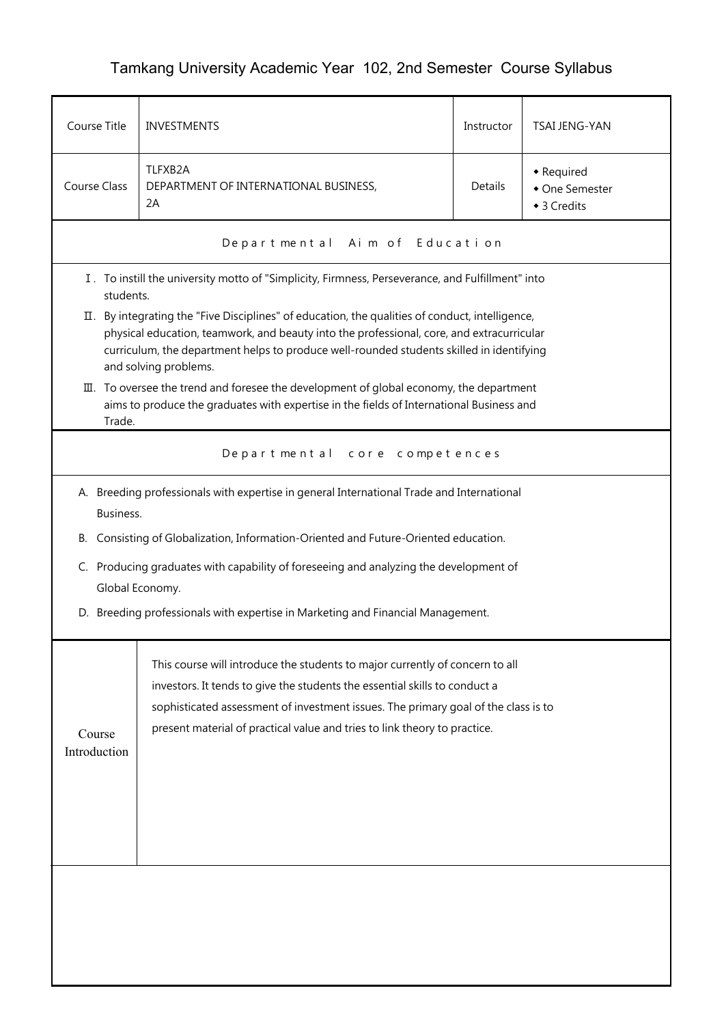## Tamkang University Academic Year 102, 2nd Semester Course Syllabus

| Course Title                                                                                                                                                                                                                                                                                                                                                                                    | <b>TSAI JENG-YAN</b><br><b>INVESTMENTS</b><br>Instructor |                |  |  |
|-------------------------------------------------------------------------------------------------------------------------------------------------------------------------------------------------------------------------------------------------------------------------------------------------------------------------------------------------------------------------------------------------|----------------------------------------------------------|----------------|--|--|
| TLFXB2A<br>• Required<br>Course Class<br>Details<br>DEPARTMENT OF INTERNATIONAL BUSINESS,<br>2A<br>◆ 3 Credits                                                                                                                                                                                                                                                                                  |                                                          | • One Semester |  |  |
|                                                                                                                                                                                                                                                                                                                                                                                                 | Departmental Aim of Education                            |                |  |  |
| I. To instill the university motto of "Simplicity, Firmness, Perseverance, and Fulfillment" into<br>students.                                                                                                                                                                                                                                                                                   |                                                          |                |  |  |
| II. By integrating the "Five Disciplines" of education, the qualities of conduct, intelligence,<br>physical education, teamwork, and beauty into the professional, core, and extracurricular<br>curriculum, the department helps to produce well-rounded students skilled in identifying<br>and solving problems.                                                                               |                                                          |                |  |  |
| III. To oversee the trend and foresee the development of global economy, the department<br>aims to produce the graduates with expertise in the fields of International Business and<br>Trade.                                                                                                                                                                                                   |                                                          |                |  |  |
|                                                                                                                                                                                                                                                                                                                                                                                                 | Departmental core competences                            |                |  |  |
| A. Breeding professionals with expertise in general International Trade and International<br>Business.<br>Consisting of Globalization, Information-Oriented and Future-Oriented education.<br>В.<br>C. Producing graduates with capability of foreseeing and analyzing the development of<br>Global Economy.<br>D. Breeding professionals with expertise in Marketing and Financial Management. |                                                          |                |  |  |
| This course will introduce the students to major currently of concern to all<br>investors. It tends to give the students the essential skills to conduct a<br>sophisticated assessment of investment issues. The primary goal of the class is to<br>present material of practical value and tries to link theory to practice.<br>Course<br>Introduction                                         |                                                          |                |  |  |
|                                                                                                                                                                                                                                                                                                                                                                                                 |                                                          |                |  |  |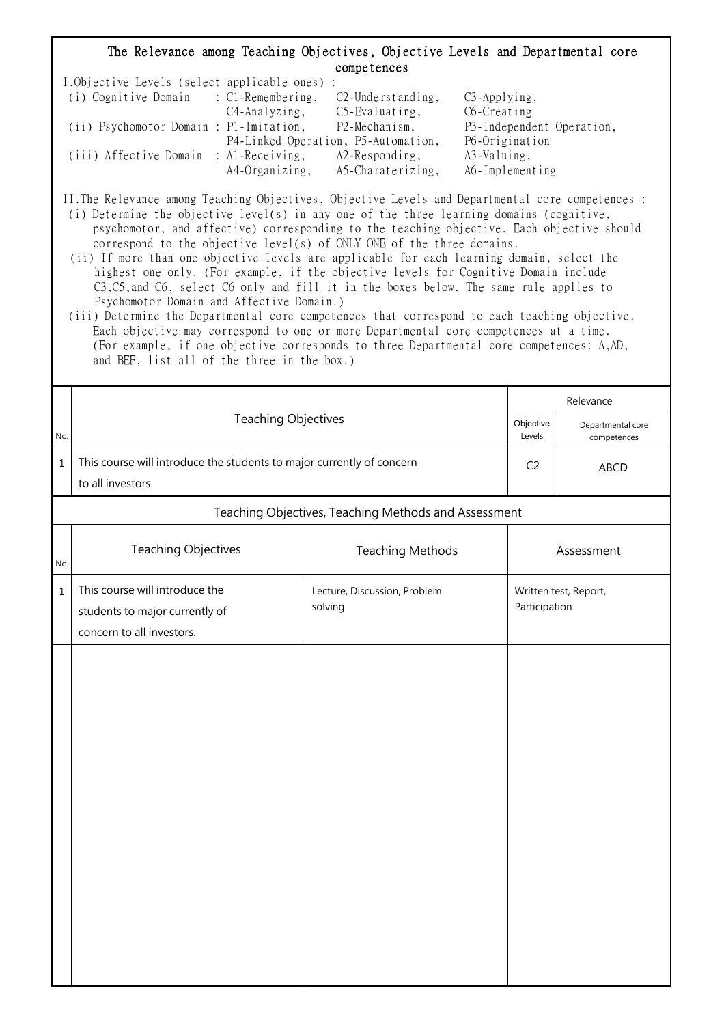## The Relevance among Teaching Objectives, Objective Levels and Departmental core competences

| I.Objective Levels (select applicable ones) : |                |                                     |                           |
|-----------------------------------------------|----------------|-------------------------------------|---------------------------|
| (i) Cognitive Domain : C1-Remembering,        |                | $C2$ -Understanding,                | $C3$ -Applying,           |
|                                               | C4-Analyzing,  | $C5$ -Evaluating,                   | C6-Creating               |
| (ii) Psychomotor Domain : P1-Imitation,       |                | P2-Mechanism,                       | P3-Independent Operation, |
|                                               |                | P4-Linked Operation, P5-Automation, | P6-Origination            |
| (iii) Affective Domain : Al-Receiving,        |                | $A2$ -Responding,                   | A3-Valuing,               |
|                                               | A4-Organizing, | A5-Charaterizing,                   | A6-Implementing           |

II.The Relevance among Teaching Objectives, Objective Levels and Departmental core competences : (i) Determine the objective level(s) in any one of the three learning domains (cognitive,

- psychomotor, and affective) corresponding to the teaching objective. Each objective should correspond to the objective level(s) of ONLY ONE of the three domains.
- (ii) If more than one objective levels are applicable for each learning domain, select the highest one only. (For example, if the objective levels for Cognitive Domain include C3,C5,and C6, select C6 only and fill it in the boxes below. The same rule applies to Psychomotor Domain and Affective Domain.)
- (iii) Determine the Departmental core competences that correspond to each teaching objective. Each objective may correspond to one or more Departmental core competences at a time. (For example, if one objective corresponds to three Departmental core competences: A,AD, and BEF, list all of the three in the box.)

|             |                                                                                               |                                         |                     | Relevance                        |  |  |
|-------------|-----------------------------------------------------------------------------------------------|-----------------------------------------|---------------------|----------------------------------|--|--|
| No.         | <b>Teaching Objectives</b>                                                                    |                                         | Objective<br>Levels | Departmental core<br>competences |  |  |
| $\mathbf 1$ | This course will introduce the students to major currently of concern<br>to all investors.    |                                         |                     | ABCD                             |  |  |
|             | Teaching Objectives, Teaching Methods and Assessment                                          |                                         |                     |                                  |  |  |
| No.         | <b>Teaching Objectives</b>                                                                    | <b>Teaching Methods</b>                 |                     | Assessment                       |  |  |
| $1\,$       | This course will introduce the<br>students to major currently of<br>concern to all investors. | Lecture, Discussion, Problem<br>solving | Participation       | Written test, Report,            |  |  |
|             |                                                                                               |                                         |                     |                                  |  |  |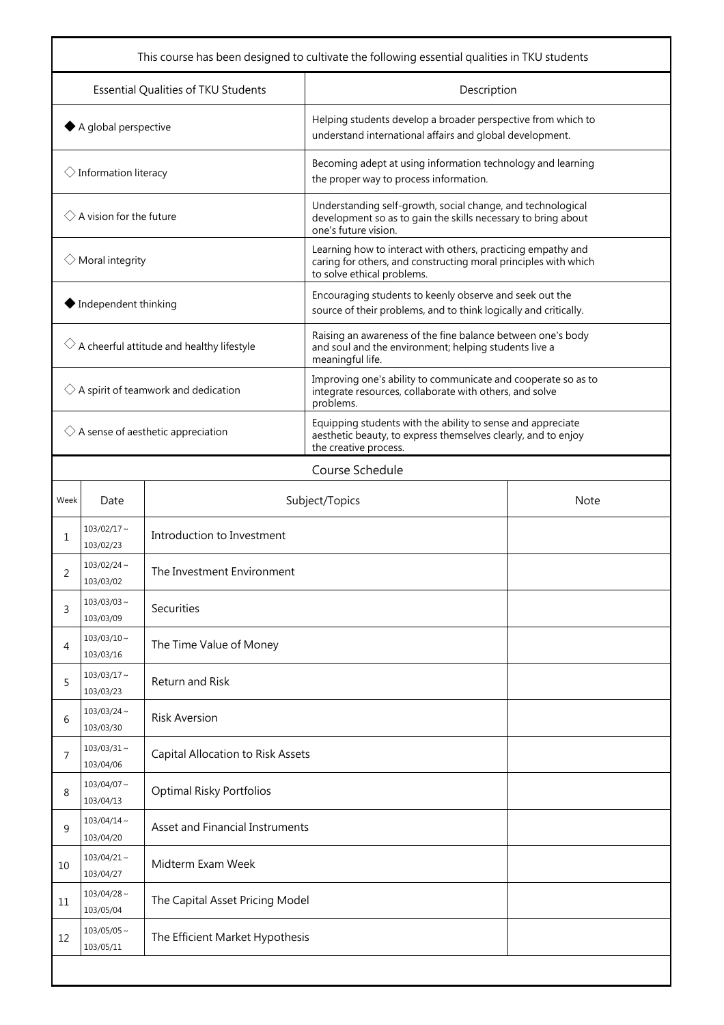| This course has been designed to cultivate the following essential qualities in TKU students |                                    |                                   |                                                                                                                                                               |             |  |
|----------------------------------------------------------------------------------------------|------------------------------------|-----------------------------------|---------------------------------------------------------------------------------------------------------------------------------------------------------------|-------------|--|
| Essential Qualities of TKU Students                                                          |                                    |                                   | Description                                                                                                                                                   |             |  |
| $\blacklozenge$ A global perspective                                                         |                                    |                                   | Helping students develop a broader perspective from which to<br>understand international affairs and global development.                                      |             |  |
|                                                                                              | $\Diamond$ Information literacy    |                                   | Becoming adept at using information technology and learning<br>the proper way to process information.                                                         |             |  |
|                                                                                              | $\Diamond$ A vision for the future |                                   | Understanding self-growth, social change, and technological<br>development so as to gain the skills necessary to bring about<br>one's future vision.          |             |  |
|                                                                                              | $\Diamond$ Moral integrity         |                                   | Learning how to interact with others, practicing empathy and<br>caring for others, and constructing moral principles with which<br>to solve ethical problems. |             |  |
|                                                                                              | ◆ Independent thinking             |                                   | Encouraging students to keenly observe and seek out the<br>source of their problems, and to think logically and critically.                                   |             |  |
| $\Diamond$ A cheerful attitude and healthy lifestyle                                         |                                    |                                   | Raising an awareness of the fine balance between one's body<br>and soul and the environment; helping students live a<br>meaningful life.                      |             |  |
| $\Diamond$ A spirit of teamwork and dedication                                               |                                    |                                   | Improving one's ability to communicate and cooperate so as to<br>integrate resources, collaborate with others, and solve<br>problems.                         |             |  |
| $\Diamond$ A sense of aesthetic appreciation                                                 |                                    |                                   | Equipping students with the ability to sense and appreciate<br>aesthetic beauty, to express themselves clearly, and to enjoy<br>the creative process.         |             |  |
|                                                                                              | Course Schedule                    |                                   |                                                                                                                                                               |             |  |
| Week                                                                                         | Date                               |                                   | Subject/Topics                                                                                                                                                | <b>Note</b> |  |
| 1                                                                                            | $103/02/17$ ~<br>103/02/23         | Introduction to Investment        |                                                                                                                                                               |             |  |
| 2                                                                                            | $103/02/24$ ~<br>103/03/02         | The Investment Environment        |                                                                                                                                                               |             |  |
| 3                                                                                            | $103/03/03 \sim$<br>103/03/09      | Securities                        |                                                                                                                                                               |             |  |
| 4                                                                                            | $103/03/10 \sim$<br>103/03/16      | The Time Value of Money           |                                                                                                                                                               |             |  |
| 5                                                                                            | $103/03/17$ ~<br>103/03/23         | Return and Risk                   |                                                                                                                                                               |             |  |
| 6                                                                                            | $103/03/24$ ~<br>103/03/30         | <b>Risk Aversion</b>              |                                                                                                                                                               |             |  |
| 7                                                                                            | $103/03/31$ ~<br>103/04/06         | Capital Allocation to Risk Assets |                                                                                                                                                               |             |  |
| 8                                                                                            | 103/04/07~<br>103/04/13            | <b>Optimal Risky Portfolios</b>   |                                                                                                                                                               |             |  |
| 9                                                                                            | $103/04/14 \sim$<br>103/04/20      | Asset and Financial Instruments   |                                                                                                                                                               |             |  |
| 10                                                                                           | $103/04/21$ ~<br>103/04/27         | Midterm Exam Week                 |                                                                                                                                                               |             |  |
| 11                                                                                           | $103/04/28$ ~<br>103/05/04         | The Capital Asset Pricing Model   |                                                                                                                                                               |             |  |
| 12                                                                                           | $103/05/05 \sim$<br>103/05/11      | The Efficient Market Hypothesis   |                                                                                                                                                               |             |  |
|                                                                                              |                                    |                                   |                                                                                                                                                               |             |  |